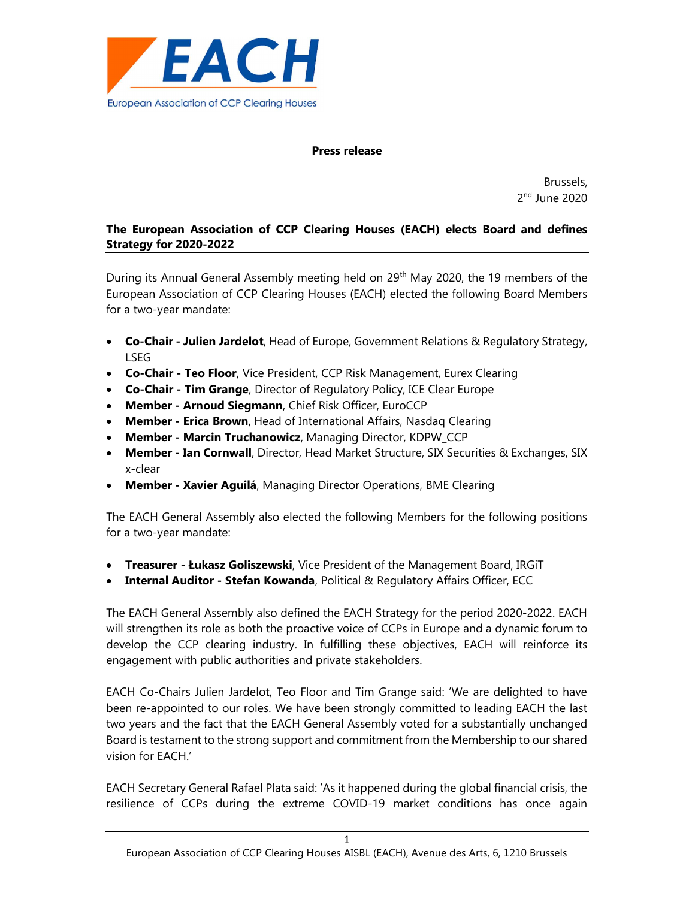

## Press release

Brussels, 2<sup>nd</sup> June 2020

# The European Association of CCP Clearing Houses (EACH) elects Board and defines Strategy for 2020-2022

During its Annual General Assembly meeting held on 29<sup>th</sup> May 2020, the 19 members of the European Association of CCP Clearing Houses (EACH) elected the following Board Members for a two-year mandate:

- Co-Chair Julien Jardelot, Head of Europe, Government Relations & Regulatory Strategy, LSEG
- Co-Chair Teo Floor, Vice President, CCP Risk Management, Eurex Clearing
- Co-Chair Tim Grange, Director of Regulatory Policy, ICE Clear Europe
- Member Arnoud Siegmann, Chief Risk Officer, EuroCCP
- Member Erica Brown, Head of International Affairs, Nasdaq Clearing
- Member Marcin Truchanowicz, Managing Director, KDPW\_CCP
- **Member Ian Cornwall**, Director, Head Market Structure, SIX Securities & Exchanges, SIX x-clear
- Member Xavier Aguilá, Managing Director Operations, BME Clearing

The EACH General Assembly also elected the following Members for the following positions for a two-year mandate:

- Treasurer Łukasz Goliszewski, Vice President of the Management Board, IRGiT
- Internal Auditor Stefan Kowanda, Political & Regulatory Affairs Officer, ECC

The EACH General Assembly also defined the EACH Strategy for the period 2020-2022. EACH will strengthen its role as both the proactive voice of CCPs in Europe and a dynamic forum to develop the CCP clearing industry. In fulfilling these objectives, EACH will reinforce its engagement with public authorities and private stakeholders.

EACH Co-Chairs Julien Jardelot, Teo Floor and Tim Grange said: 'We are delighted to have been re-appointed to our roles. We have been strongly committed to leading EACH the last two years and the fact that the EACH General Assembly voted for a substantially unchanged Board is testament to the strong support and commitment from the Membership to our shared vision for EACH.'

EACH Secretary General Rafael Plata said: 'As it happened during the global financial crisis, the resilience of CCPs during the extreme COVID-19 market conditions has once again